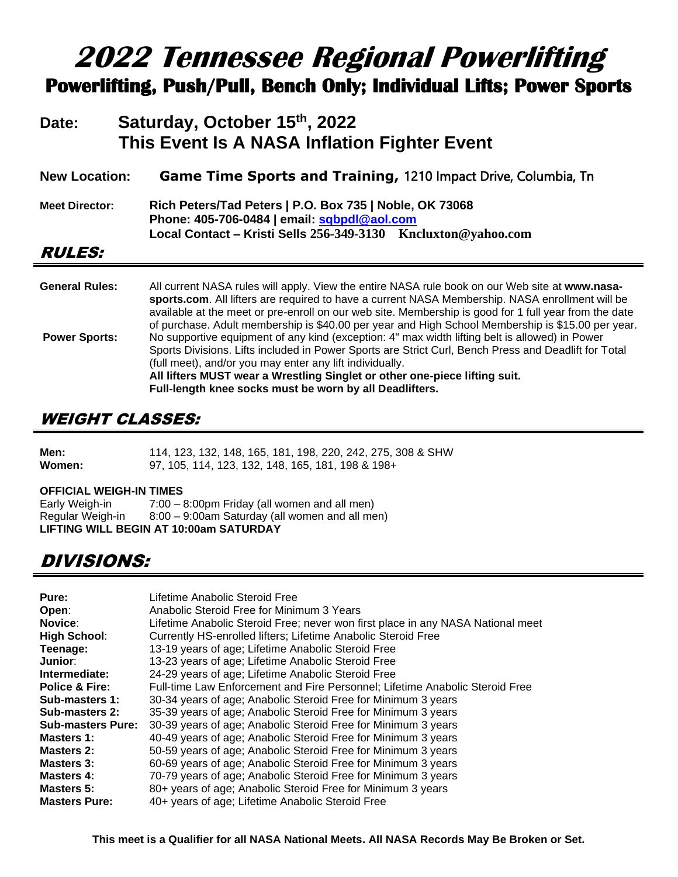# **2022 Tennessee Regional Powerlifting Powerlifting, Push/Pull, Bench Only; Individual Lifts; Power Sports**

# **Date: Saturday, October 15th, 2022 This Event Is A NASA Inflation Fighter Event**

| <b>New Location:</b>  | Game Time Sports and Training, 1210 Impact Drive, Columbia, Tn                                                                                                                                                                                                                                                                                                                                                  |
|-----------------------|-----------------------------------------------------------------------------------------------------------------------------------------------------------------------------------------------------------------------------------------------------------------------------------------------------------------------------------------------------------------------------------------------------------------|
| <b>Meet Director:</b> | Rich Peters/Tad Peters   P.O. Box 735   Noble, OK 73068<br>Phone: 405-706-0484   email: sqbpdl@aol.com<br>Local Contact - Kristi Sells 256-349-3130 Kncluxton@yahoo.com                                                                                                                                                                                                                                         |
| <i><b>RULES:</b></i>  |                                                                                                                                                                                                                                                                                                                                                                                                                 |
| <b>General Rules:</b> | All current NASA rules will apply. View the entire NASA rule book on our Web site at www.nasa-<br>sports.com. All lifters are required to have a current NASA Membership. NASA enrollment will be<br>available at the meet or pre-enroll on our web site. Membership is good for 1 full year from the date<br>of purchase. Adult membership is \$40.00 per year and High School Membership is \$15.00 per year. |
| <b>Power Sports:</b>  | No supportive equipment of any kind (exception: 4" max width lifting belt is allowed) in Power<br>Sports Divisions. Lifts included in Power Sports are Strict Curl, Bench Press and Deadlift for Total<br>(full meet), and/or you may enter any lift individually.<br>All lifters MUST wear a Wrestling Singlet or other one-piece lifting suit.<br>Full-length knee socks must be worn by all Deadlifters.     |

# WEIGHT CLASSES:

| Men:   | 114, 123, 132, 148, 165, 181, 198, 220, 242, 275, 308 & SHW |  |  |  |
|--------|-------------------------------------------------------------|--|--|--|
| Women: | 97, 105, 114, 123, 132, 148, 165, 181, 198 & 198+           |  |  |  |

#### **OFFICIAL WEIGH-IN TIMES**

| Early Weigh-in   | 7:00 - 8:00pm Friday (all women and all men)   |
|------------------|------------------------------------------------|
| Regular Weigh-in | 8:00 - 9:00am Saturday (all women and all men) |
|                  | LIFTING WILL BEGIN AT 10:00am SATURDAY         |

# DIVISIONS:

| Pure:                     | Lifetime Anabolic Steroid Free                                                  |
|---------------------------|---------------------------------------------------------------------------------|
| Open:                     | Anabolic Steroid Free for Minimum 3 Years                                       |
| Novice:                   | Lifetime Anabolic Steroid Free; never won first place in any NASA National meet |
| <b>High School:</b>       | Currently HS-enrolled lifters; Lifetime Anabolic Steroid Free                   |
| Teenage:                  | 13-19 years of age; Lifetime Anabolic Steroid Free                              |
| Junior:                   | 13-23 years of age; Lifetime Anabolic Steroid Free                              |
| Intermediate:             | 24-29 years of age; Lifetime Anabolic Steroid Free                              |
| <b>Police &amp; Fire:</b> | Full-time Law Enforcement and Fire Personnel; Lifetime Anabolic Steroid Free    |
| Sub-masters 1:            | 30-34 years of age; Anabolic Steroid Free for Minimum 3 years                   |
| Sub-masters 2:            | 35-39 years of age; Anabolic Steroid Free for Minimum 3 years                   |
| <b>Sub-masters Pure:</b>  | 30-39 years of age; Anabolic Steroid Free for Minimum 3 years                   |
| Masters 1:                | 40-49 years of age; Anabolic Steroid Free for Minimum 3 years                   |
| Masters 2:                | 50-59 years of age; Anabolic Steroid Free for Minimum 3 years                   |
| Masters 3:                | 60-69 years of age; Anabolic Steroid Free for Minimum 3 years                   |
| Masters 4:                | 70-79 years of age; Anabolic Steroid Free for Minimum 3 years                   |
| Masters 5:                | 80+ years of age; Anabolic Steroid Free for Minimum 3 years                     |
| <b>Masters Pure:</b>      | 40+ years of age; Lifetime Anabolic Steroid Free                                |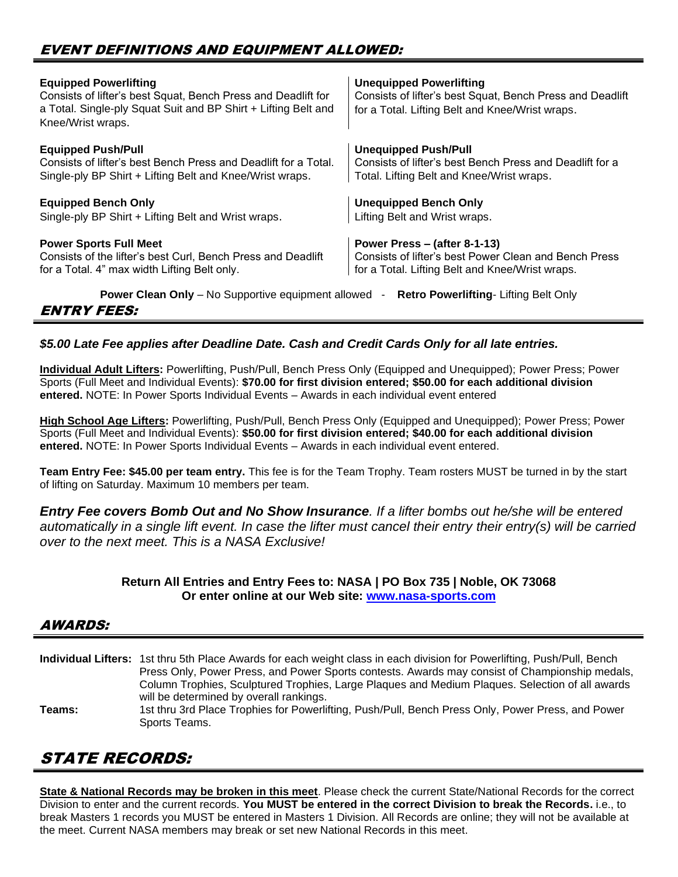### EVENT DEFINITIONS AND EQUIPMENT ALLOWED:

| <b>Equipped Powerlifting</b><br>Consists of lifter's best Squat, Bench Press and Deadlift for<br>a Total. Single-ply Squat Suit and BP Shirt + Lifting Belt and<br>Knee/Wrist wraps. | <b>Unequipped Powerlifting</b><br>Consists of lifter's best Squat, Bench Press and Deadlift<br>for a Total. Lifting Belt and Knee/Wrist wraps. |
|--------------------------------------------------------------------------------------------------------------------------------------------------------------------------------------|------------------------------------------------------------------------------------------------------------------------------------------------|
| <b>Equipped Push/Pull</b>                                                                                                                                                            | <b>Unequipped Push/Pull</b>                                                                                                                    |
| Consists of lifter's best Bench Press and Deadlift for a Total.                                                                                                                      | Consists of lifter's best Bench Press and Deadlift for a                                                                                       |
| Single-ply BP Shirt + Lifting Belt and Knee/Wrist wraps.                                                                                                                             | Total. Lifting Belt and Knee/Wrist wraps.                                                                                                      |
| <b>Equipped Bench Only</b>                                                                                                                                                           | <b>Unequipped Bench Only</b>                                                                                                                   |
| Single-ply BP Shirt + Lifting Belt and Wrist wraps.                                                                                                                                  | Lifting Belt and Wrist wraps.                                                                                                                  |
| <b>Power Sports Full Meet</b>                                                                                                                                                        | Power Press - (after 8-1-13)                                                                                                                   |
| Consists of the lifter's best Curl, Bench Press and Deadlift                                                                                                                         | Consists of lifter's best Power Clean and Bench Press                                                                                          |
| for a Total. 4" max width Lifting Belt only.                                                                                                                                         | for a Total. Lifting Belt and Knee/Wrist wraps.                                                                                                |
| <b>Power Clean Only</b> – No Supportive equipment allowed -                                                                                                                          | <b>Retro Powerlifting-Lifting Belt Only</b>                                                                                                    |

#### ENTRY FEES:

#### *\$5.00 Late Fee applies after Deadline Date. Cash and Credit Cards Only for all late entries.*

**Individual Adult Lifters:** Powerlifting, Push/Pull, Bench Press Only (Equipped and Unequipped); Power Press; Power Sports (Full Meet and Individual Events): **\$70.00 for first division entered; \$50.00 for each additional division entered.** NOTE: In Power Sports Individual Events – Awards in each individual event entered

**High School Age Lifters:** Powerlifting, Push/Pull, Bench Press Only (Equipped and Unequipped); Power Press; Power Sports (Full Meet and Individual Events): **\$50.00 for first division entered; \$40.00 for each additional division entered.** NOTE: In Power Sports Individual Events – Awards in each individual event entered.

**Team Entry Fee: \$45.00 per team entry.** This fee is for the Team Trophy. Team rosters MUST be turned in by the start of lifting on Saturday. Maximum 10 members per team.

*Entry Fee covers Bomb Out and No Show Insurance. If a lifter bombs out he/she will be entered automatically in a single lift event. In case the lifter must cancel their entry their entry(s) will be carried over to the next meet. This is a NASA Exclusive!*

#### **Return All Entries and Entry Fees to: NASA | PO Box 735 | Noble, OK 73068 Or enter online at our Web site: [www.nasa-sports.com](http://www.nasa-sports.com/)**

#### AWARDS:

**Individual Lifters:** 1st thru 5th Place Awards for each weight class in each division for Powerlifting, Push/Pull, Bench Press Only, Power Press, and Power Sports contests. Awards may consist of Championship medals, Column Trophies, Sculptured Trophies, Large Plaques and Medium Plaques. Selection of all awards will be determined by overall rankings. **Teams:** 1st thru 3rd Place Trophies for Powerlifting, Push/Pull, Bench Press Only, Power Press, and Power Sports Teams.

## STATE RECORDS:

**State & National Records may be broken in this meet**. Please check the current State/National Records for the correct Division to enter and the current records. **You MUST be entered in the correct Division to break the Records.** i.e., to break Masters 1 records you MUST be entered in Masters 1 Division. All Records are online; they will not be available at the meet. Current NASA members may break or set new National Records in this meet.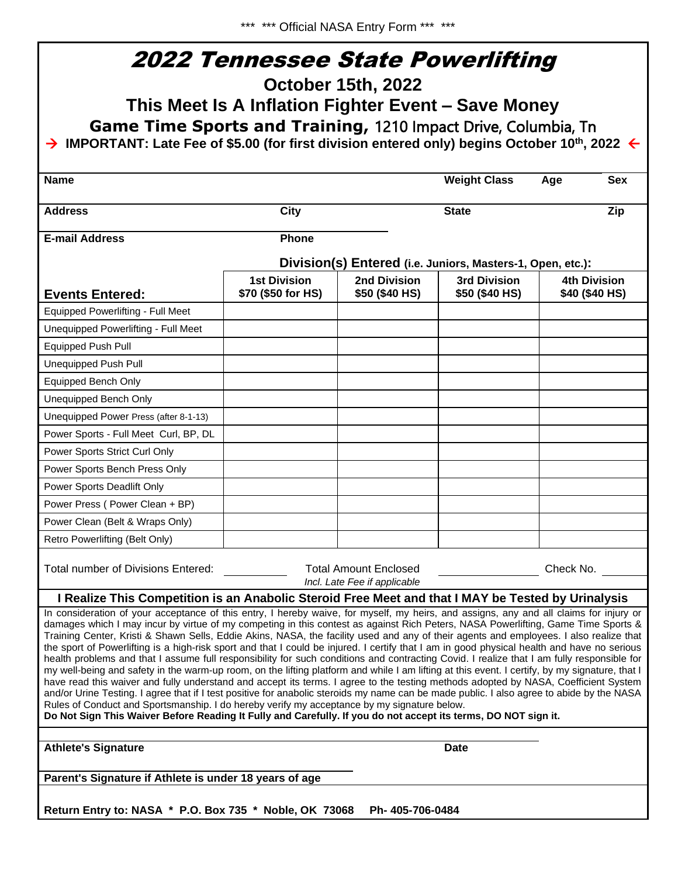1

|                                                                                                                                                                                                                                                                                                                                                                                                                                                                                                                                                                                                                                                                                                                                                                                                                                                                                                                                                                                                                                                                                                                                                                                                                                                                                                                                                                                                                                                                                 | <b>2022 Tennessee State Powerlifting</b> |                                                              |                     |                     |  |  |
|---------------------------------------------------------------------------------------------------------------------------------------------------------------------------------------------------------------------------------------------------------------------------------------------------------------------------------------------------------------------------------------------------------------------------------------------------------------------------------------------------------------------------------------------------------------------------------------------------------------------------------------------------------------------------------------------------------------------------------------------------------------------------------------------------------------------------------------------------------------------------------------------------------------------------------------------------------------------------------------------------------------------------------------------------------------------------------------------------------------------------------------------------------------------------------------------------------------------------------------------------------------------------------------------------------------------------------------------------------------------------------------------------------------------------------------------------------------------------------|------------------------------------------|--------------------------------------------------------------|---------------------|---------------------|--|--|
| October 15th, 2022                                                                                                                                                                                                                                                                                                                                                                                                                                                                                                                                                                                                                                                                                                                                                                                                                                                                                                                                                                                                                                                                                                                                                                                                                                                                                                                                                                                                                                                              |                                          |                                                              |                     |                     |  |  |
| This Meet Is A Inflation Fighter Event - Save Money                                                                                                                                                                                                                                                                                                                                                                                                                                                                                                                                                                                                                                                                                                                                                                                                                                                                                                                                                                                                                                                                                                                                                                                                                                                                                                                                                                                                                             |                                          |                                                              |                     |                     |  |  |
| Game Time Sports and Training, 1210 Impact Drive, Columbia, Tn                                                                                                                                                                                                                                                                                                                                                                                                                                                                                                                                                                                                                                                                                                                                                                                                                                                                                                                                                                                                                                                                                                                                                                                                                                                                                                                                                                                                                  |                                          |                                                              |                     |                     |  |  |
| $\rightarrow$ IMPORTANT: Late Fee of \$5.00 (for first division entered only) begins October 10 <sup>th</sup> , 2022 $\leftarrow$                                                                                                                                                                                                                                                                                                                                                                                                                                                                                                                                                                                                                                                                                                                                                                                                                                                                                                                                                                                                                                                                                                                                                                                                                                                                                                                                               |                                          |                                                              |                     |                     |  |  |
|                                                                                                                                                                                                                                                                                                                                                                                                                                                                                                                                                                                                                                                                                                                                                                                                                                                                                                                                                                                                                                                                                                                                                                                                                                                                                                                                                                                                                                                                                 |                                          |                                                              |                     |                     |  |  |
| <b>Name</b>                                                                                                                                                                                                                                                                                                                                                                                                                                                                                                                                                                                                                                                                                                                                                                                                                                                                                                                                                                                                                                                                                                                                                                                                                                                                                                                                                                                                                                                                     |                                          |                                                              | <b>Weight Class</b> | <b>Sex</b><br>Age   |  |  |
| <b>Address</b>                                                                                                                                                                                                                                                                                                                                                                                                                                                                                                                                                                                                                                                                                                                                                                                                                                                                                                                                                                                                                                                                                                                                                                                                                                                                                                                                                                                                                                                                  | <b>City</b>                              |                                                              | <b>State</b>        | Zip                 |  |  |
| <b>E-mail Address</b>                                                                                                                                                                                                                                                                                                                                                                                                                                                                                                                                                                                                                                                                                                                                                                                                                                                                                                                                                                                                                                                                                                                                                                                                                                                                                                                                                                                                                                                           | Phone                                    |                                                              |                     |                     |  |  |
|                                                                                                                                                                                                                                                                                                                                                                                                                                                                                                                                                                                                                                                                                                                                                                                                                                                                                                                                                                                                                                                                                                                                                                                                                                                                                                                                                                                                                                                                                 |                                          | Division(s) Entered (i.e. Juniors, Masters-1, Open, etc.):   |                     |                     |  |  |
|                                                                                                                                                                                                                                                                                                                                                                                                                                                                                                                                                                                                                                                                                                                                                                                                                                                                                                                                                                                                                                                                                                                                                                                                                                                                                                                                                                                                                                                                                 | <b>1st Division</b>                      | <b>2nd Division</b>                                          | <b>3rd Division</b> | <b>4th Division</b> |  |  |
| <b>Events Entered:</b>                                                                                                                                                                                                                                                                                                                                                                                                                                                                                                                                                                                                                                                                                                                                                                                                                                                                                                                                                                                                                                                                                                                                                                                                                                                                                                                                                                                                                                                          | \$70 (\$50 for HS)                       | \$50 (\$40 HS)                                               | \$50 (\$40 HS)      | \$40 (\$40 HS)      |  |  |
| <b>Equipped Powerlifting - Full Meet</b>                                                                                                                                                                                                                                                                                                                                                                                                                                                                                                                                                                                                                                                                                                                                                                                                                                                                                                                                                                                                                                                                                                                                                                                                                                                                                                                                                                                                                                        |                                          |                                                              |                     |                     |  |  |
| Unequipped Powerlifting - Full Meet                                                                                                                                                                                                                                                                                                                                                                                                                                                                                                                                                                                                                                                                                                                                                                                                                                                                                                                                                                                                                                                                                                                                                                                                                                                                                                                                                                                                                                             |                                          |                                                              |                     |                     |  |  |
| <b>Equipped Push Pull</b>                                                                                                                                                                                                                                                                                                                                                                                                                                                                                                                                                                                                                                                                                                                                                                                                                                                                                                                                                                                                                                                                                                                                                                                                                                                                                                                                                                                                                                                       |                                          |                                                              |                     |                     |  |  |
| Unequipped Push Pull                                                                                                                                                                                                                                                                                                                                                                                                                                                                                                                                                                                                                                                                                                                                                                                                                                                                                                                                                                                                                                                                                                                                                                                                                                                                                                                                                                                                                                                            |                                          |                                                              |                     |                     |  |  |
| <b>Equipped Bench Only</b>                                                                                                                                                                                                                                                                                                                                                                                                                                                                                                                                                                                                                                                                                                                                                                                                                                                                                                                                                                                                                                                                                                                                                                                                                                                                                                                                                                                                                                                      |                                          |                                                              |                     |                     |  |  |
| <b>Unequipped Bench Only</b>                                                                                                                                                                                                                                                                                                                                                                                                                                                                                                                                                                                                                                                                                                                                                                                                                                                                                                                                                                                                                                                                                                                                                                                                                                                                                                                                                                                                                                                    |                                          |                                                              |                     |                     |  |  |
| Unequipped Power Press (after 8-1-13)                                                                                                                                                                                                                                                                                                                                                                                                                                                                                                                                                                                                                                                                                                                                                                                                                                                                                                                                                                                                                                                                                                                                                                                                                                                                                                                                                                                                                                           |                                          |                                                              |                     |                     |  |  |
| Power Sports - Full Meet Curl, BP, DL                                                                                                                                                                                                                                                                                                                                                                                                                                                                                                                                                                                                                                                                                                                                                                                                                                                                                                                                                                                                                                                                                                                                                                                                                                                                                                                                                                                                                                           |                                          |                                                              |                     |                     |  |  |
| Power Sports Strict Curl Only                                                                                                                                                                                                                                                                                                                                                                                                                                                                                                                                                                                                                                                                                                                                                                                                                                                                                                                                                                                                                                                                                                                                                                                                                                                                                                                                                                                                                                                   |                                          |                                                              |                     |                     |  |  |
| Power Sports Bench Press Only                                                                                                                                                                                                                                                                                                                                                                                                                                                                                                                                                                                                                                                                                                                                                                                                                                                                                                                                                                                                                                                                                                                                                                                                                                                                                                                                                                                                                                                   |                                          |                                                              |                     |                     |  |  |
| Power Sports Deadlift Only                                                                                                                                                                                                                                                                                                                                                                                                                                                                                                                                                                                                                                                                                                                                                                                                                                                                                                                                                                                                                                                                                                                                                                                                                                                                                                                                                                                                                                                      |                                          |                                                              |                     |                     |  |  |
| Power Press (Power Clean + BP)                                                                                                                                                                                                                                                                                                                                                                                                                                                                                                                                                                                                                                                                                                                                                                                                                                                                                                                                                                                                                                                                                                                                                                                                                                                                                                                                                                                                                                                  |                                          |                                                              |                     |                     |  |  |
| Power Clean (Belt & Wraps Only)                                                                                                                                                                                                                                                                                                                                                                                                                                                                                                                                                                                                                                                                                                                                                                                                                                                                                                                                                                                                                                                                                                                                                                                                                                                                                                                                                                                                                                                 |                                          |                                                              |                     |                     |  |  |
| Retro Powerlifting (Belt Only)                                                                                                                                                                                                                                                                                                                                                                                                                                                                                                                                                                                                                                                                                                                                                                                                                                                                                                                                                                                                                                                                                                                                                                                                                                                                                                                                                                                                                                                  |                                          |                                                              |                     |                     |  |  |
| Total number of Divisions Entered:                                                                                                                                                                                                                                                                                                                                                                                                                                                                                                                                                                                                                                                                                                                                                                                                                                                                                                                                                                                                                                                                                                                                                                                                                                                                                                                                                                                                                                              |                                          | <b>Total Amount Enclosed</b><br>Incl. Late Fee if applicable |                     | Check No.           |  |  |
|                                                                                                                                                                                                                                                                                                                                                                                                                                                                                                                                                                                                                                                                                                                                                                                                                                                                                                                                                                                                                                                                                                                                                                                                                                                                                                                                                                                                                                                                                 |                                          |                                                              |                     |                     |  |  |
| I Realize This Competition is an Anabolic Steroid Free Meet and that I MAY be Tested by Urinalysis<br>In consideration of your acceptance of this entry, I hereby waive, for myself, my heirs, and assigns, any and all claims for injury or<br>damages which I may incur by virtue of my competing in this contest as against Rich Peters, NASA Powerlifting, Game Time Sports &<br>Training Center, Kristi & Shawn Sells, Eddie Akins, NASA, the facility used and any of their agents and employees. I also realize that<br>the sport of Powerlifting is a high-risk sport and that I could be injured. I certify that I am in good physical health and have no serious<br>health problems and that I assume full responsibility for such conditions and contracting Covid. I realize that I am fully responsible for<br>my well-being and safety in the warm-up room, on the lifting platform and while I am lifting at this event. I certify, by my signature, that I<br>have read this waiver and fully understand and accept its terms. I agree to the testing methods adopted by NASA, Coefficient System<br>and/or Urine Testing. I agree that if I test positive for anabolic steroids my name can be made public. I also agree to abide by the NASA<br>Rules of Conduct and Sportsmanship. I do hereby verify my acceptance by my signature below.<br>Do Not Sign This Waiver Before Reading It Fully and Carefully. If you do not accept its terms, DO NOT sign it. |                                          |                                                              |                     |                     |  |  |
| <b>Athlete's Signature</b>                                                                                                                                                                                                                                                                                                                                                                                                                                                                                                                                                                                                                                                                                                                                                                                                                                                                                                                                                                                                                                                                                                                                                                                                                                                                                                                                                                                                                                                      |                                          |                                                              | <b>Date</b>         |                     |  |  |
| Parent's Signature if Athlete is under 18 years of age                                                                                                                                                                                                                                                                                                                                                                                                                                                                                                                                                                                                                                                                                                                                                                                                                                                                                                                                                                                                                                                                                                                                                                                                                                                                                                                                                                                                                          |                                          |                                                              |                     |                     |  |  |
| Return Entry to: NASA * P.O. Box 735 * Noble, OK 73068<br>Ph-405-706-0484                                                                                                                                                                                                                                                                                                                                                                                                                                                                                                                                                                                                                                                                                                                                                                                                                                                                                                                                                                                                                                                                                                                                                                                                                                                                                                                                                                                                       |                                          |                                                              |                     |                     |  |  |